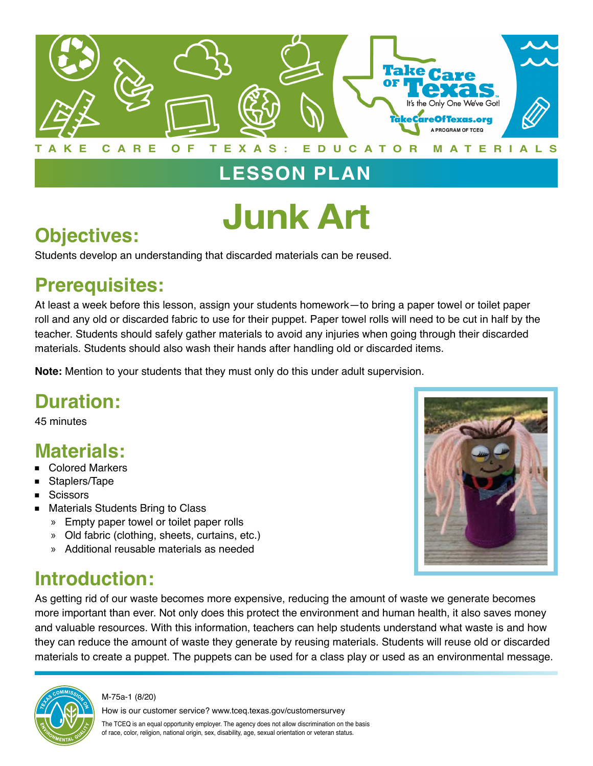

## **LESSON PLAN**

# **Junk Art Objectives:**

Students develop an understanding that discarded materials can be reused.

#### **Prerequisites:**

At least a week before this lesson, assign your students homework—to bring a paper towel or toilet paper roll and any old or discarded fabric to use for their puppet. Paper towel rolls will need to be cut in half by the teacher. Students should safely gather materials to avoid any injuries when going through their discarded materials. Students should also wash their hands after handling old or discarded items.

**Note:** Mention to your students that they must only do this under adult supervision.

#### **Duration:**

45 minutes

#### **Materials:**

- **Colored Markers**
- Staplers/Tape
- **Scissors**
- **Materials Students Bring to Class** 
	- » Empty paper towel or toilet paper rolls
	- » Old fabric (clothing, sheets, curtains, etc.)
	- » Additional reusable materials as needed

#### **Introduction:**

As getting rid of our waste becomes more expensive, reducing the amount of waste we generate becomes more important than ever. Not only does this protect the environment and human health, it also saves money and valuable resources. With this information, teachers can help students understand what waste is and how they can reduce the amount of waste they generate by reusing materials. Students will reuse old or discarded materials to create a puppet. The puppets can be used for a class play or used as an environmental message.



M-75a-1 (8/20)

How is our customer service? www.tceq.texas.gov/customersurvey

The TCEQ is an equal opportunity employer. The agency does not allow discrimination on the basis of race, color, religion, national origin, sex, disability, age, sexual orientation or veteran status.